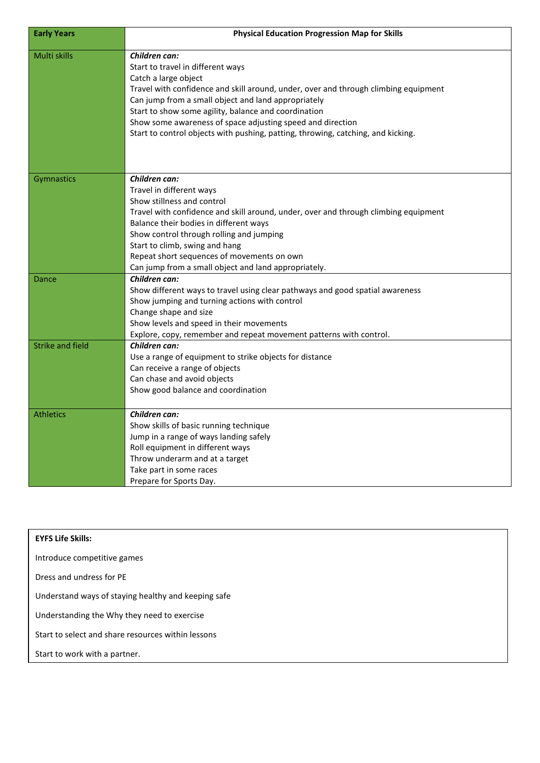| <b>Early Years</b>      | <b>Physical Education Progression Map for Skills</b>                                                                                                                                                                                                                                                                                                                                                                               |
|-------------------------|------------------------------------------------------------------------------------------------------------------------------------------------------------------------------------------------------------------------------------------------------------------------------------------------------------------------------------------------------------------------------------------------------------------------------------|
| Multi skills            | Children can:<br>Start to travel in different ways<br>Catch a large object<br>Travel with confidence and skill around, under, over and through climbing equipment<br>Can jump from a small object and land appropriately<br>Start to show some agility, balance and coordination<br>Show some awareness of space adjusting speed and direction<br>Start to control objects with pushing, patting, throwing, catching, and kicking. |
| <b>Gymnastics</b>       | Children can:<br>Travel in different ways<br>Show stillness and control<br>Travel with confidence and skill around, under, over and through climbing equipment<br>Balance their bodies in different ways<br>Show control through rolling and jumping<br>Start to climb, swing and hang<br>Repeat short sequences of movements on own<br>Can jump from a small object and land appropriately.                                       |
| Dance                   | Children can:<br>Show different ways to travel using clear pathways and good spatial awareness<br>Show jumping and turning actions with control<br>Change shape and size<br>Show levels and speed in their movements<br>Explore, copy, remember and repeat movement patterns with control.                                                                                                                                         |
| <b>Strike and field</b> | Children can:<br>Use a range of equipment to strike objects for distance<br>Can receive a range of objects<br>Can chase and avoid objects<br>Show good balance and coordination                                                                                                                                                                                                                                                    |
| <b>Athletics</b>        | Children can:<br>Show skills of basic running technique<br>Jump in a range of ways landing safely<br>Roll equipment in different ways<br>Throw underarm and at a target<br>Take part in some races<br>Prepare for Sports Day.                                                                                                                                                                                                      |

| <b>EYFS Life Skills:</b>                            |  |
|-----------------------------------------------------|--|
| Introduce competitive games                         |  |
| Dress and undress for PE                            |  |
| Understand ways of staying healthy and keeping safe |  |
| Understanding the Why they need to exercise         |  |
| Start to select and share resources within lessons  |  |
| Start to work with a partner.                       |  |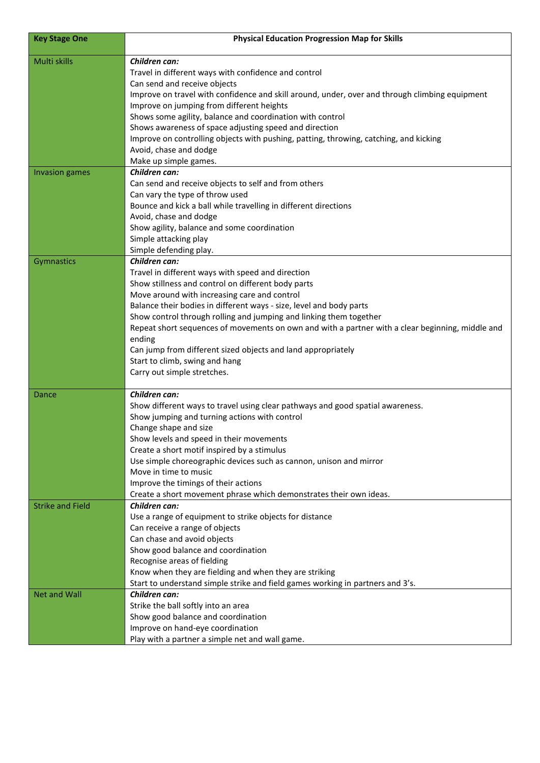| <b>Key Stage One</b>    | <b>Physical Education Progression Map for Skills</b>                                             |
|-------------------------|--------------------------------------------------------------------------------------------------|
| Multi skills            | Children can:                                                                                    |
|                         | Travel in different ways with confidence and control                                             |
|                         | Can send and receive objects                                                                     |
|                         | Improve on travel with confidence and skill around, under, over and through climbing equipment   |
|                         | Improve on jumping from different heights                                                        |
|                         | Shows some agility, balance and coordination with control                                        |
|                         | Shows awareness of space adjusting speed and direction                                           |
|                         | Improve on controlling objects with pushing, patting, throwing, catching, and kicking            |
|                         | Avoid, chase and dodge                                                                           |
|                         | Make up simple games.                                                                            |
| <b>Invasion games</b>   | Children can:                                                                                    |
|                         | Can send and receive objects to self and from others                                             |
|                         | Can vary the type of throw used                                                                  |
|                         | Bounce and kick a ball while travelling in different directions                                  |
|                         | Avoid, chase and dodge                                                                           |
|                         | Show agility, balance and some coordination                                                      |
|                         | Simple attacking play<br>Simple defending play.                                                  |
| Gymnastics              | Children can:                                                                                    |
|                         | Travel in different ways with speed and direction                                                |
|                         | Show stillness and control on different body parts                                               |
|                         | Move around with increasing care and control                                                     |
|                         | Balance their bodies in different ways - size, level and body parts                              |
|                         | Show control through rolling and jumping and linking them together                               |
|                         | Repeat short sequences of movements on own and with a partner with a clear beginning, middle and |
|                         | ending                                                                                           |
|                         | Can jump from different sized objects and land appropriately                                     |
|                         | Start to climb, swing and hang                                                                   |
|                         | Carry out simple stretches.                                                                      |
|                         |                                                                                                  |
| Dance                   | Children can:                                                                                    |
|                         | Show different ways to travel using clear pathways and good spatial awareness.                   |
|                         | Show jumping and turning actions with control                                                    |
|                         | Change shape and size                                                                            |
|                         | Show levels and speed in their movements                                                         |
|                         | Create a short motif inspired by a stimulus                                                      |
|                         | Use simple choreographic devices such as cannon, unison and mirror<br>Move in time to music      |
|                         | Improve the timings of their actions                                                             |
|                         | Create a short movement phrase which demonstrates their own ideas.                               |
| <b>Strike and Field</b> | Children can:                                                                                    |
|                         | Use a range of equipment to strike objects for distance                                          |
|                         | Can receive a range of objects                                                                   |
|                         | Can chase and avoid objects                                                                      |
|                         | Show good balance and coordination                                                               |
|                         | Recognise areas of fielding                                                                      |
|                         | Know when they are fielding and when they are striking                                           |
|                         | Start to understand simple strike and field games working in partners and 3's.                   |
| <b>Net and Wall</b>     | Children can:                                                                                    |
|                         | Strike the ball softly into an area                                                              |
|                         | Show good balance and coordination                                                               |
|                         | Improve on hand-eye coordination                                                                 |
|                         | Play with a partner a simple net and wall game.                                                  |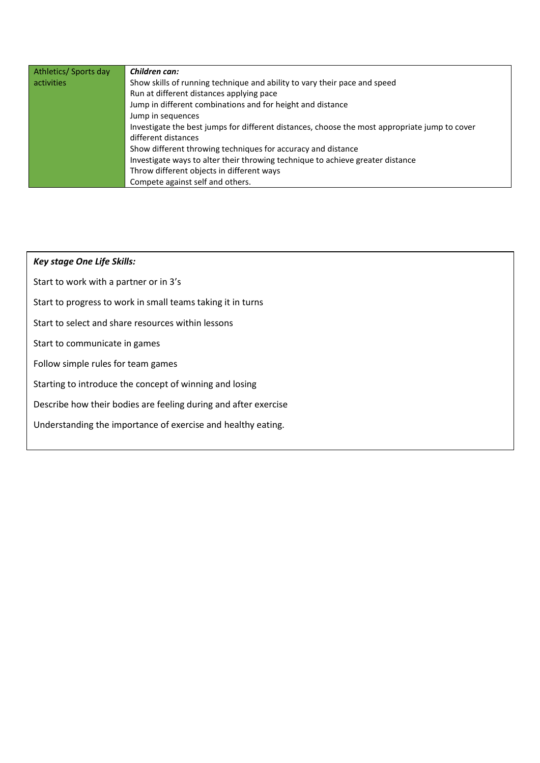| Athletics/Sports day | Children can:                                                                                 |
|----------------------|-----------------------------------------------------------------------------------------------|
| activities           | Show skills of running technique and ability to vary their pace and speed                     |
|                      | Run at different distances applying pace                                                      |
|                      | Jump in different combinations and for height and distance                                    |
|                      | Jump in sequences                                                                             |
|                      | Investigate the best jumps for different distances, choose the most appropriate jump to cover |
|                      | different distances                                                                           |
|                      | Show different throwing techniques for accuracy and distance                                  |
|                      | Investigate ways to alter their throwing technique to achieve greater distance                |
|                      | Throw different objects in different ways                                                     |
|                      | Compete against self and others.                                                              |

## *Key stage One Life Skills:*  Start to work with a partner or in 3's Start to progress to work in small teams taking it in turns Start to select and share resources within lessons

Start to communicate in games

Follow simple rules for team games

Starting to introduce the concept of winning and losing

Describe how their bodies are feeling during and after exercise

Understanding the importance of exercise and healthy eating.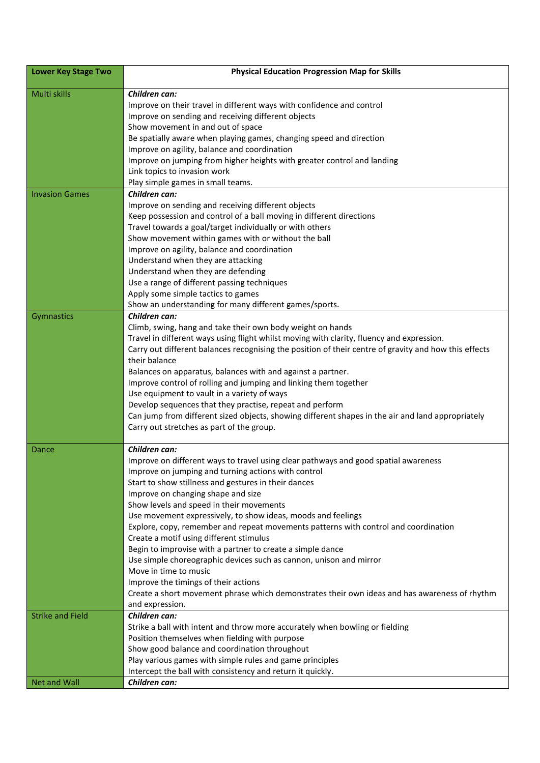| Lower Key Stage Two     | <b>Physical Education Progression Map for Skills</b>                                                                             |
|-------------------------|----------------------------------------------------------------------------------------------------------------------------------|
| Multi skills            | Children can:                                                                                                                    |
|                         | Improve on their travel in different ways with confidence and control                                                            |
|                         | Improve on sending and receiving different objects                                                                               |
|                         | Show movement in and out of space                                                                                                |
|                         | Be spatially aware when playing games, changing speed and direction                                                              |
|                         | Improve on agility, balance and coordination                                                                                     |
|                         | Improve on jumping from higher heights with greater control and landing                                                          |
|                         | Link topics to invasion work                                                                                                     |
|                         | Play simple games in small teams.                                                                                                |
| <b>Invasion Games</b>   | Children can:                                                                                                                    |
|                         | Improve on sending and receiving different objects                                                                               |
|                         | Keep possession and control of a ball moving in different directions                                                             |
|                         | Travel towards a goal/target individually or with others<br>Show movement within games with or without the ball                  |
|                         | Improve on agility, balance and coordination                                                                                     |
|                         | Understand when they are attacking                                                                                               |
|                         | Understand when they are defending                                                                                               |
|                         | Use a range of different passing techniques                                                                                      |
|                         | Apply some simple tactics to games                                                                                               |
|                         | Show an understanding for many different games/sports.                                                                           |
| Gymnastics              | Children can:                                                                                                                    |
|                         | Climb, swing, hang and take their own body weight on hands                                                                       |
|                         | Travel in different ways using flight whilst moving with clarity, fluency and expression.                                        |
|                         | Carry out different balances recognising the position of their centre of gravity and how this effects                            |
|                         | their balance                                                                                                                    |
|                         | Balances on apparatus, balances with and against a partner.                                                                      |
|                         | Improve control of rolling and jumping and linking them together                                                                 |
|                         | Use equipment to vault in a variety of ways                                                                                      |
|                         | Develop sequences that they practise, repeat and perform                                                                         |
|                         | Can jump from different sized objects, showing different shapes in the air and land appropriately                                |
|                         | Carry out stretches as part of the group.                                                                                        |
|                         |                                                                                                                                  |
| Dance                   | Children can:                                                                                                                    |
|                         | Improve on different ways to travel using clear pathways and good spatial awareness                                              |
|                         | Improve on jumping and turning actions with control                                                                              |
|                         | Start to show stillness and gestures in their dances                                                                             |
|                         | Improve on changing shape and size                                                                                               |
|                         | Show levels and speed in their movements                                                                                         |
|                         | Use movement expressively, to show ideas, moods and feelings                                                                     |
|                         | Explore, copy, remember and repeat movements patterns with control and coordination                                              |
|                         | Create a motif using different stimulus                                                                                          |
|                         | Begin to improvise with a partner to create a simple dance<br>Use simple choreographic devices such as cannon, unison and mirror |
|                         | Move in time to music                                                                                                            |
|                         | Improve the timings of their actions                                                                                             |
|                         | Create a short movement phrase which demonstrates their own ideas and has awareness of rhythm                                    |
|                         | and expression.                                                                                                                  |
| <b>Strike and Field</b> | Children can:                                                                                                                    |
|                         | Strike a ball with intent and throw more accurately when bowling or fielding                                                     |
|                         | Position themselves when fielding with purpose                                                                                   |
|                         | Show good balance and coordination throughout                                                                                    |
|                         | Play various games with simple rules and game principles                                                                         |
|                         | Intercept the ball with consistency and return it quickly.                                                                       |
| <b>Net and Wall</b>     | Children can:                                                                                                                    |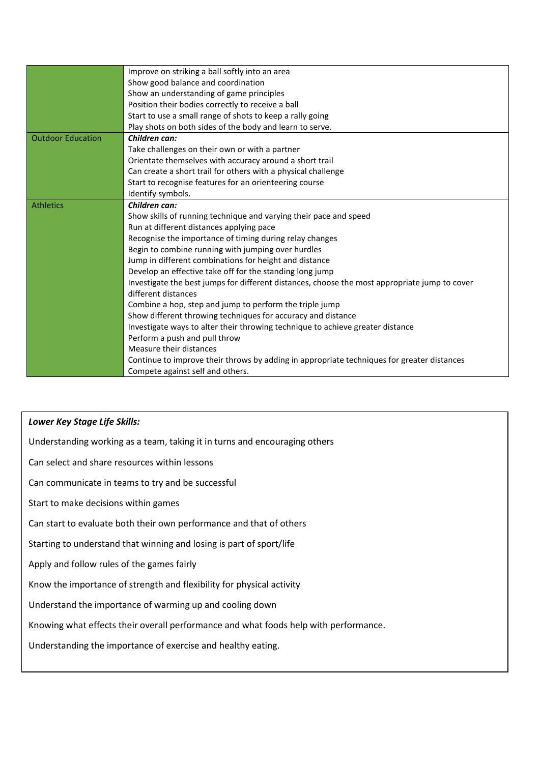|                          | Improve on striking a ball softly into an area                                                |
|--------------------------|-----------------------------------------------------------------------------------------------|
|                          | Show good balance and coordination                                                            |
|                          | Show an understanding of game principles                                                      |
|                          | Position their bodies correctly to receive a ball                                             |
|                          | Start to use a small range of shots to keep a rally going                                     |
|                          | Play shots on both sides of the body and learn to serve.                                      |
| <b>Outdoor Education</b> | Children can:                                                                                 |
|                          | Take challenges on their own or with a partner                                                |
|                          | Orientate themselves with accuracy around a short trail                                       |
|                          | Can create a short trail for others with a physical challenge                                 |
|                          | Start to recognise features for an orienteering course                                        |
|                          | Identify symbols.                                                                             |
| <b>Athletics</b>         | Children can:                                                                                 |
|                          | Show skills of running technique and varying their pace and speed                             |
|                          | Run at different distances applying pace                                                      |
|                          | Recognise the importance of timing during relay changes                                       |
|                          | Begin to combine running with jumping over hurdles                                            |
|                          | Jump in different combinations for height and distance                                        |
|                          | Develop an effective take off for the standing long jump                                      |
|                          | Investigate the best jumps for different distances, choose the most appropriate jump to cover |
|                          | different distances                                                                           |
|                          | Combine a hop, step and jump to perform the triple jump                                       |
|                          | Show different throwing techniques for accuracy and distance                                  |
|                          | Investigate ways to alter their throwing technique to achieve greater distance                |
|                          | Perform a push and pull throw                                                                 |
|                          | Measure their distances                                                                       |
|                          | Continue to improve their throws by adding in appropriate techniques for greater distances    |
|                          | Compete against self and others.                                                              |

## *Lower Key Stage Life Skills:*

Understanding working as a team, taking it in turns and encouraging others

Can select and share resources within lessons

Can communicate in teams to try and be successful

Start to make decisions within games

Can start to evaluate both their own performance and that of others

Starting to understand that winning and losing is part of sport/life

Apply and follow rules of the games fairly

Know the importance of strength and flexibility for physical activity

Understand the importance of warming up and cooling down

Knowing what effects their overall performance and what foods help with performance.

Understanding the importance of exercise and healthy eating.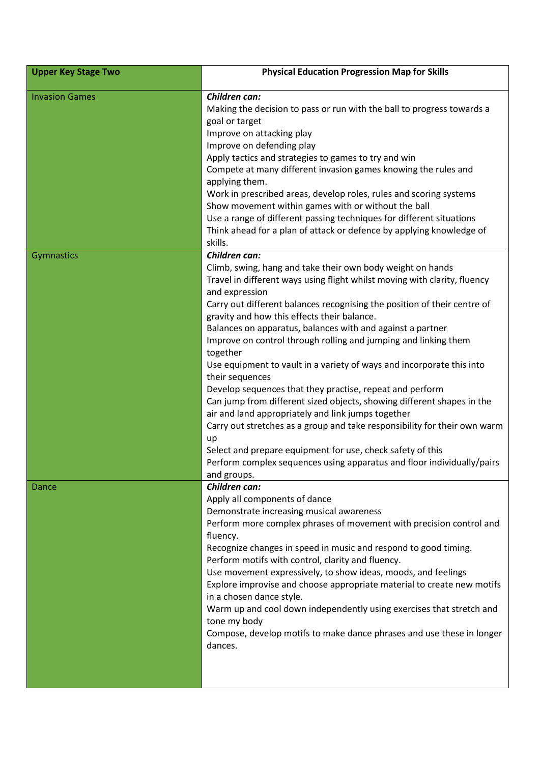| <b>Upper Key Stage Two</b> | <b>Physical Education Progression Map for Skills</b>                                                                                                                                                                                                                                                                                                                                                                                                                                                                                                                                                                                                                                                                                                                                                                                                                                                                                                                                 |
|----------------------------|--------------------------------------------------------------------------------------------------------------------------------------------------------------------------------------------------------------------------------------------------------------------------------------------------------------------------------------------------------------------------------------------------------------------------------------------------------------------------------------------------------------------------------------------------------------------------------------------------------------------------------------------------------------------------------------------------------------------------------------------------------------------------------------------------------------------------------------------------------------------------------------------------------------------------------------------------------------------------------------|
| <b>Invasion Games</b>      | Children can:<br>Making the decision to pass or run with the ball to progress towards a<br>goal or target<br>Improve on attacking play<br>Improve on defending play<br>Apply tactics and strategies to games to try and win<br>Compete at many different invasion games knowing the rules and<br>applying them.<br>Work in prescribed areas, develop roles, rules and scoring systems<br>Show movement within games with or without the ball<br>Use a range of different passing techniques for different situations<br>Think ahead for a plan of attack or defence by applying knowledge of<br>skills.                                                                                                                                                                                                                                                                                                                                                                              |
| Gymnastics                 | Children can:<br>Climb, swing, hang and take their own body weight on hands<br>Travel in different ways using flight whilst moving with clarity, fluency<br>and expression<br>Carry out different balances recognising the position of their centre of<br>gravity and how this effects their balance.<br>Balances on apparatus, balances with and against a partner<br>Improve on control through rolling and jumping and linking them<br>together<br>Use equipment to vault in a variety of ways and incorporate this into<br>their sequences<br>Develop sequences that they practise, repeat and perform<br>Can jump from different sized objects, showing different shapes in the<br>air and land appropriately and link jumps together<br>Carry out stretches as a group and take responsibility for their own warm<br>up<br>Select and prepare equipment for use, check safety of this<br>Perform complex sequences using apparatus and floor individually/pairs<br>and groups. |
| Dance                      | Children can:<br>Apply all components of dance<br>Demonstrate increasing musical awareness<br>Perform more complex phrases of movement with precision control and<br>fluency.<br>Recognize changes in speed in music and respond to good timing.<br>Perform motifs with control, clarity and fluency.<br>Use movement expressively, to show ideas, moods, and feelings<br>Explore improvise and choose appropriate material to create new motifs<br>in a chosen dance style.<br>Warm up and cool down independently using exercises that stretch and<br>tone my body<br>Compose, develop motifs to make dance phrases and use these in longer<br>dances.                                                                                                                                                                                                                                                                                                                             |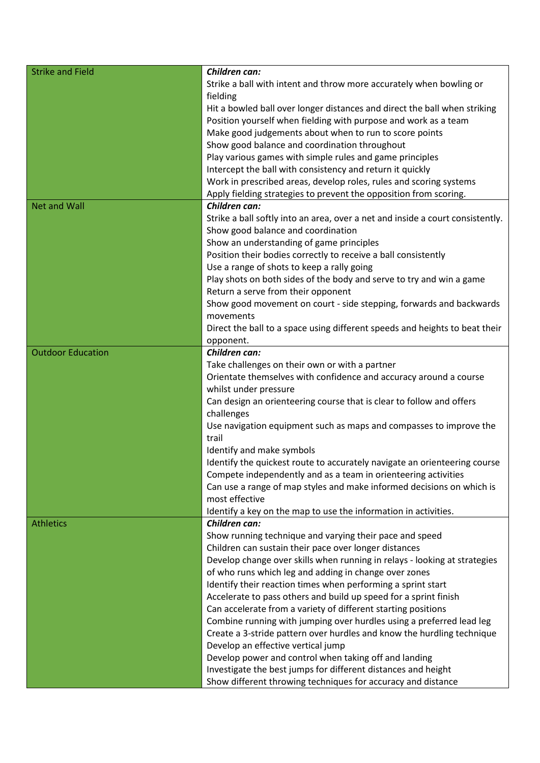| Strike a ball with intent and throw more accurately when bowling or<br>fielding<br>Hit a bowled ball over longer distances and direct the ball when striking<br>Position yourself when fielding with purpose and work as a team<br>Make good judgements about when to run to score points<br>Show good balance and coordination throughout<br>Play various games with simple rules and game principles<br>Intercept the ball with consistency and return it quickly<br>Work in prescribed areas, develop roles, rules and scoring systems<br>Apply fielding strategies to prevent the opposition from scoring.<br><b>Net and Wall</b><br>Children can:<br>Strike a ball softly into an area, over a net and inside a court consistently.<br>Show good balance and coordination<br>Show an understanding of game principles<br>Position their bodies correctly to receive a ball consistently<br>Use a range of shots to keep a rally going<br>Play shots on both sides of the body and serve to try and win a game<br>Return a serve from their opponent<br>Show good movement on court - side stepping, forwards and backwards<br>movements<br>Direct the ball to a space using different speeds and heights to beat their<br>opponent.<br><b>Outdoor Education</b><br>Children can:<br>Take challenges on their own or with a partner<br>Orientate themselves with confidence and accuracy around a course<br>whilst under pressure<br>Can design an orienteering course that is clear to follow and offers<br>challenges<br>Use navigation equipment such as maps and compasses to improve the<br>trail<br>Identify and make symbols<br>Identify the quickest route to accurately navigate an orienteering course<br>Compete independently and as a team in orienteering activities<br>Can use a range of map styles and make informed decisions on which is<br>most effective<br>Identify a key on the map to use the information in activities.<br>Children can:<br><b>Athletics</b><br>Show running technique and varying their pace and speed<br>Children can sustain their pace over longer distances<br>Develop change over skills when running in relays - looking at strategies | <b>Strike and Field</b> | Children can:                                         |
|--------------------------------------------------------------------------------------------------------------------------------------------------------------------------------------------------------------------------------------------------------------------------------------------------------------------------------------------------------------------------------------------------------------------------------------------------------------------------------------------------------------------------------------------------------------------------------------------------------------------------------------------------------------------------------------------------------------------------------------------------------------------------------------------------------------------------------------------------------------------------------------------------------------------------------------------------------------------------------------------------------------------------------------------------------------------------------------------------------------------------------------------------------------------------------------------------------------------------------------------------------------------------------------------------------------------------------------------------------------------------------------------------------------------------------------------------------------------------------------------------------------------------------------------------------------------------------------------------------------------------------------------------------------------------------------------------------------------------------------------------------------------------------------------------------------------------------------------------------------------------------------------------------------------------------------------------------------------------------------------------------------------------------------------------------------------------------------------------------------------------------------------------------------------------------------------|-------------------------|-------------------------------------------------------|
|                                                                                                                                                                                                                                                                                                                                                                                                                                                                                                                                                                                                                                                                                                                                                                                                                                                                                                                                                                                                                                                                                                                                                                                                                                                                                                                                                                                                                                                                                                                                                                                                                                                                                                                                                                                                                                                                                                                                                                                                                                                                                                                                                                                            |                         |                                                       |
|                                                                                                                                                                                                                                                                                                                                                                                                                                                                                                                                                                                                                                                                                                                                                                                                                                                                                                                                                                                                                                                                                                                                                                                                                                                                                                                                                                                                                                                                                                                                                                                                                                                                                                                                                                                                                                                                                                                                                                                                                                                                                                                                                                                            |                         |                                                       |
|                                                                                                                                                                                                                                                                                                                                                                                                                                                                                                                                                                                                                                                                                                                                                                                                                                                                                                                                                                                                                                                                                                                                                                                                                                                                                                                                                                                                                                                                                                                                                                                                                                                                                                                                                                                                                                                                                                                                                                                                                                                                                                                                                                                            |                         |                                                       |
|                                                                                                                                                                                                                                                                                                                                                                                                                                                                                                                                                                                                                                                                                                                                                                                                                                                                                                                                                                                                                                                                                                                                                                                                                                                                                                                                                                                                                                                                                                                                                                                                                                                                                                                                                                                                                                                                                                                                                                                                                                                                                                                                                                                            |                         |                                                       |
|                                                                                                                                                                                                                                                                                                                                                                                                                                                                                                                                                                                                                                                                                                                                                                                                                                                                                                                                                                                                                                                                                                                                                                                                                                                                                                                                                                                                                                                                                                                                                                                                                                                                                                                                                                                                                                                                                                                                                                                                                                                                                                                                                                                            |                         |                                                       |
|                                                                                                                                                                                                                                                                                                                                                                                                                                                                                                                                                                                                                                                                                                                                                                                                                                                                                                                                                                                                                                                                                                                                                                                                                                                                                                                                                                                                                                                                                                                                                                                                                                                                                                                                                                                                                                                                                                                                                                                                                                                                                                                                                                                            |                         |                                                       |
|                                                                                                                                                                                                                                                                                                                                                                                                                                                                                                                                                                                                                                                                                                                                                                                                                                                                                                                                                                                                                                                                                                                                                                                                                                                                                                                                                                                                                                                                                                                                                                                                                                                                                                                                                                                                                                                                                                                                                                                                                                                                                                                                                                                            |                         |                                                       |
|                                                                                                                                                                                                                                                                                                                                                                                                                                                                                                                                                                                                                                                                                                                                                                                                                                                                                                                                                                                                                                                                                                                                                                                                                                                                                                                                                                                                                                                                                                                                                                                                                                                                                                                                                                                                                                                                                                                                                                                                                                                                                                                                                                                            |                         |                                                       |
|                                                                                                                                                                                                                                                                                                                                                                                                                                                                                                                                                                                                                                                                                                                                                                                                                                                                                                                                                                                                                                                                                                                                                                                                                                                                                                                                                                                                                                                                                                                                                                                                                                                                                                                                                                                                                                                                                                                                                                                                                                                                                                                                                                                            |                         |                                                       |
|                                                                                                                                                                                                                                                                                                                                                                                                                                                                                                                                                                                                                                                                                                                                                                                                                                                                                                                                                                                                                                                                                                                                                                                                                                                                                                                                                                                                                                                                                                                                                                                                                                                                                                                                                                                                                                                                                                                                                                                                                                                                                                                                                                                            |                         |                                                       |
|                                                                                                                                                                                                                                                                                                                                                                                                                                                                                                                                                                                                                                                                                                                                                                                                                                                                                                                                                                                                                                                                                                                                                                                                                                                                                                                                                                                                                                                                                                                                                                                                                                                                                                                                                                                                                                                                                                                                                                                                                                                                                                                                                                                            |                         |                                                       |
|                                                                                                                                                                                                                                                                                                                                                                                                                                                                                                                                                                                                                                                                                                                                                                                                                                                                                                                                                                                                                                                                                                                                                                                                                                                                                                                                                                                                                                                                                                                                                                                                                                                                                                                                                                                                                                                                                                                                                                                                                                                                                                                                                                                            |                         |                                                       |
|                                                                                                                                                                                                                                                                                                                                                                                                                                                                                                                                                                                                                                                                                                                                                                                                                                                                                                                                                                                                                                                                                                                                                                                                                                                                                                                                                                                                                                                                                                                                                                                                                                                                                                                                                                                                                                                                                                                                                                                                                                                                                                                                                                                            |                         |                                                       |
|                                                                                                                                                                                                                                                                                                                                                                                                                                                                                                                                                                                                                                                                                                                                                                                                                                                                                                                                                                                                                                                                                                                                                                                                                                                                                                                                                                                                                                                                                                                                                                                                                                                                                                                                                                                                                                                                                                                                                                                                                                                                                                                                                                                            |                         |                                                       |
|                                                                                                                                                                                                                                                                                                                                                                                                                                                                                                                                                                                                                                                                                                                                                                                                                                                                                                                                                                                                                                                                                                                                                                                                                                                                                                                                                                                                                                                                                                                                                                                                                                                                                                                                                                                                                                                                                                                                                                                                                                                                                                                                                                                            |                         |                                                       |
|                                                                                                                                                                                                                                                                                                                                                                                                                                                                                                                                                                                                                                                                                                                                                                                                                                                                                                                                                                                                                                                                                                                                                                                                                                                                                                                                                                                                                                                                                                                                                                                                                                                                                                                                                                                                                                                                                                                                                                                                                                                                                                                                                                                            |                         |                                                       |
|                                                                                                                                                                                                                                                                                                                                                                                                                                                                                                                                                                                                                                                                                                                                                                                                                                                                                                                                                                                                                                                                                                                                                                                                                                                                                                                                                                                                                                                                                                                                                                                                                                                                                                                                                                                                                                                                                                                                                                                                                                                                                                                                                                                            |                         |                                                       |
|                                                                                                                                                                                                                                                                                                                                                                                                                                                                                                                                                                                                                                                                                                                                                                                                                                                                                                                                                                                                                                                                                                                                                                                                                                                                                                                                                                                                                                                                                                                                                                                                                                                                                                                                                                                                                                                                                                                                                                                                                                                                                                                                                                                            |                         |                                                       |
|                                                                                                                                                                                                                                                                                                                                                                                                                                                                                                                                                                                                                                                                                                                                                                                                                                                                                                                                                                                                                                                                                                                                                                                                                                                                                                                                                                                                                                                                                                                                                                                                                                                                                                                                                                                                                                                                                                                                                                                                                                                                                                                                                                                            |                         |                                                       |
|                                                                                                                                                                                                                                                                                                                                                                                                                                                                                                                                                                                                                                                                                                                                                                                                                                                                                                                                                                                                                                                                                                                                                                                                                                                                                                                                                                                                                                                                                                                                                                                                                                                                                                                                                                                                                                                                                                                                                                                                                                                                                                                                                                                            |                         |                                                       |
|                                                                                                                                                                                                                                                                                                                                                                                                                                                                                                                                                                                                                                                                                                                                                                                                                                                                                                                                                                                                                                                                                                                                                                                                                                                                                                                                                                                                                                                                                                                                                                                                                                                                                                                                                                                                                                                                                                                                                                                                                                                                                                                                                                                            |                         |                                                       |
|                                                                                                                                                                                                                                                                                                                                                                                                                                                                                                                                                                                                                                                                                                                                                                                                                                                                                                                                                                                                                                                                                                                                                                                                                                                                                                                                                                                                                                                                                                                                                                                                                                                                                                                                                                                                                                                                                                                                                                                                                                                                                                                                                                                            |                         |                                                       |
|                                                                                                                                                                                                                                                                                                                                                                                                                                                                                                                                                                                                                                                                                                                                                                                                                                                                                                                                                                                                                                                                                                                                                                                                                                                                                                                                                                                                                                                                                                                                                                                                                                                                                                                                                                                                                                                                                                                                                                                                                                                                                                                                                                                            |                         |                                                       |
|                                                                                                                                                                                                                                                                                                                                                                                                                                                                                                                                                                                                                                                                                                                                                                                                                                                                                                                                                                                                                                                                                                                                                                                                                                                                                                                                                                                                                                                                                                                                                                                                                                                                                                                                                                                                                                                                                                                                                                                                                                                                                                                                                                                            |                         |                                                       |
|                                                                                                                                                                                                                                                                                                                                                                                                                                                                                                                                                                                                                                                                                                                                                                                                                                                                                                                                                                                                                                                                                                                                                                                                                                                                                                                                                                                                                                                                                                                                                                                                                                                                                                                                                                                                                                                                                                                                                                                                                                                                                                                                                                                            |                         |                                                       |
|                                                                                                                                                                                                                                                                                                                                                                                                                                                                                                                                                                                                                                                                                                                                                                                                                                                                                                                                                                                                                                                                                                                                                                                                                                                                                                                                                                                                                                                                                                                                                                                                                                                                                                                                                                                                                                                                                                                                                                                                                                                                                                                                                                                            |                         |                                                       |
|                                                                                                                                                                                                                                                                                                                                                                                                                                                                                                                                                                                                                                                                                                                                                                                                                                                                                                                                                                                                                                                                                                                                                                                                                                                                                                                                                                                                                                                                                                                                                                                                                                                                                                                                                                                                                                                                                                                                                                                                                                                                                                                                                                                            |                         |                                                       |
|                                                                                                                                                                                                                                                                                                                                                                                                                                                                                                                                                                                                                                                                                                                                                                                                                                                                                                                                                                                                                                                                                                                                                                                                                                                                                                                                                                                                                                                                                                                                                                                                                                                                                                                                                                                                                                                                                                                                                                                                                                                                                                                                                                                            |                         |                                                       |
|                                                                                                                                                                                                                                                                                                                                                                                                                                                                                                                                                                                                                                                                                                                                                                                                                                                                                                                                                                                                                                                                                                                                                                                                                                                                                                                                                                                                                                                                                                                                                                                                                                                                                                                                                                                                                                                                                                                                                                                                                                                                                                                                                                                            |                         |                                                       |
|                                                                                                                                                                                                                                                                                                                                                                                                                                                                                                                                                                                                                                                                                                                                                                                                                                                                                                                                                                                                                                                                                                                                                                                                                                                                                                                                                                                                                                                                                                                                                                                                                                                                                                                                                                                                                                                                                                                                                                                                                                                                                                                                                                                            |                         |                                                       |
|                                                                                                                                                                                                                                                                                                                                                                                                                                                                                                                                                                                                                                                                                                                                                                                                                                                                                                                                                                                                                                                                                                                                                                                                                                                                                                                                                                                                                                                                                                                                                                                                                                                                                                                                                                                                                                                                                                                                                                                                                                                                                                                                                                                            |                         |                                                       |
|                                                                                                                                                                                                                                                                                                                                                                                                                                                                                                                                                                                                                                                                                                                                                                                                                                                                                                                                                                                                                                                                                                                                                                                                                                                                                                                                                                                                                                                                                                                                                                                                                                                                                                                                                                                                                                                                                                                                                                                                                                                                                                                                                                                            |                         |                                                       |
|                                                                                                                                                                                                                                                                                                                                                                                                                                                                                                                                                                                                                                                                                                                                                                                                                                                                                                                                                                                                                                                                                                                                                                                                                                                                                                                                                                                                                                                                                                                                                                                                                                                                                                                                                                                                                                                                                                                                                                                                                                                                                                                                                                                            |                         |                                                       |
|                                                                                                                                                                                                                                                                                                                                                                                                                                                                                                                                                                                                                                                                                                                                                                                                                                                                                                                                                                                                                                                                                                                                                                                                                                                                                                                                                                                                                                                                                                                                                                                                                                                                                                                                                                                                                                                                                                                                                                                                                                                                                                                                                                                            |                         |                                                       |
|                                                                                                                                                                                                                                                                                                                                                                                                                                                                                                                                                                                                                                                                                                                                                                                                                                                                                                                                                                                                                                                                                                                                                                                                                                                                                                                                                                                                                                                                                                                                                                                                                                                                                                                                                                                                                                                                                                                                                                                                                                                                                                                                                                                            |                         |                                                       |
|                                                                                                                                                                                                                                                                                                                                                                                                                                                                                                                                                                                                                                                                                                                                                                                                                                                                                                                                                                                                                                                                                                                                                                                                                                                                                                                                                                                                                                                                                                                                                                                                                                                                                                                                                                                                                                                                                                                                                                                                                                                                                                                                                                                            |                         |                                                       |
|                                                                                                                                                                                                                                                                                                                                                                                                                                                                                                                                                                                                                                                                                                                                                                                                                                                                                                                                                                                                                                                                                                                                                                                                                                                                                                                                                                                                                                                                                                                                                                                                                                                                                                                                                                                                                                                                                                                                                                                                                                                                                                                                                                                            |                         |                                                       |
|                                                                                                                                                                                                                                                                                                                                                                                                                                                                                                                                                                                                                                                                                                                                                                                                                                                                                                                                                                                                                                                                                                                                                                                                                                                                                                                                                                                                                                                                                                                                                                                                                                                                                                                                                                                                                                                                                                                                                                                                                                                                                                                                                                                            |                         |                                                       |
|                                                                                                                                                                                                                                                                                                                                                                                                                                                                                                                                                                                                                                                                                                                                                                                                                                                                                                                                                                                                                                                                                                                                                                                                                                                                                                                                                                                                                                                                                                                                                                                                                                                                                                                                                                                                                                                                                                                                                                                                                                                                                                                                                                                            |                         |                                                       |
|                                                                                                                                                                                                                                                                                                                                                                                                                                                                                                                                                                                                                                                                                                                                                                                                                                                                                                                                                                                                                                                                                                                                                                                                                                                                                                                                                                                                                                                                                                                                                                                                                                                                                                                                                                                                                                                                                                                                                                                                                                                                                                                                                                                            |                         |                                                       |
|                                                                                                                                                                                                                                                                                                                                                                                                                                                                                                                                                                                                                                                                                                                                                                                                                                                                                                                                                                                                                                                                                                                                                                                                                                                                                                                                                                                                                                                                                                                                                                                                                                                                                                                                                                                                                                                                                                                                                                                                                                                                                                                                                                                            |                         |                                                       |
|                                                                                                                                                                                                                                                                                                                                                                                                                                                                                                                                                                                                                                                                                                                                                                                                                                                                                                                                                                                                                                                                                                                                                                                                                                                                                                                                                                                                                                                                                                                                                                                                                                                                                                                                                                                                                                                                                                                                                                                                                                                                                                                                                                                            |                         | of who runs which leg and adding in change over zones |
| Identify their reaction times when performing a sprint start                                                                                                                                                                                                                                                                                                                                                                                                                                                                                                                                                                                                                                                                                                                                                                                                                                                                                                                                                                                                                                                                                                                                                                                                                                                                                                                                                                                                                                                                                                                                                                                                                                                                                                                                                                                                                                                                                                                                                                                                                                                                                                                               |                         |                                                       |
| Accelerate to pass others and build up speed for a sprint finish                                                                                                                                                                                                                                                                                                                                                                                                                                                                                                                                                                                                                                                                                                                                                                                                                                                                                                                                                                                                                                                                                                                                                                                                                                                                                                                                                                                                                                                                                                                                                                                                                                                                                                                                                                                                                                                                                                                                                                                                                                                                                                                           |                         |                                                       |
| Can accelerate from a variety of different starting positions                                                                                                                                                                                                                                                                                                                                                                                                                                                                                                                                                                                                                                                                                                                                                                                                                                                                                                                                                                                                                                                                                                                                                                                                                                                                                                                                                                                                                                                                                                                                                                                                                                                                                                                                                                                                                                                                                                                                                                                                                                                                                                                              |                         |                                                       |
| Combine running with jumping over hurdles using a preferred lead leg                                                                                                                                                                                                                                                                                                                                                                                                                                                                                                                                                                                                                                                                                                                                                                                                                                                                                                                                                                                                                                                                                                                                                                                                                                                                                                                                                                                                                                                                                                                                                                                                                                                                                                                                                                                                                                                                                                                                                                                                                                                                                                                       |                         |                                                       |
| Create a 3-stride pattern over hurdles and know the hurdling technique                                                                                                                                                                                                                                                                                                                                                                                                                                                                                                                                                                                                                                                                                                                                                                                                                                                                                                                                                                                                                                                                                                                                                                                                                                                                                                                                                                                                                                                                                                                                                                                                                                                                                                                                                                                                                                                                                                                                                                                                                                                                                                                     |                         |                                                       |
| Develop an effective vertical jump                                                                                                                                                                                                                                                                                                                                                                                                                                                                                                                                                                                                                                                                                                                                                                                                                                                                                                                                                                                                                                                                                                                                                                                                                                                                                                                                                                                                                                                                                                                                                                                                                                                                                                                                                                                                                                                                                                                                                                                                                                                                                                                                                         |                         |                                                       |
| Develop power and control when taking off and landing                                                                                                                                                                                                                                                                                                                                                                                                                                                                                                                                                                                                                                                                                                                                                                                                                                                                                                                                                                                                                                                                                                                                                                                                                                                                                                                                                                                                                                                                                                                                                                                                                                                                                                                                                                                                                                                                                                                                                                                                                                                                                                                                      |                         |                                                       |
| Investigate the best jumps for different distances and height                                                                                                                                                                                                                                                                                                                                                                                                                                                                                                                                                                                                                                                                                                                                                                                                                                                                                                                                                                                                                                                                                                                                                                                                                                                                                                                                                                                                                                                                                                                                                                                                                                                                                                                                                                                                                                                                                                                                                                                                                                                                                                                              |                         |                                                       |
| Show different throwing techniques for accuracy and distance                                                                                                                                                                                                                                                                                                                                                                                                                                                                                                                                                                                                                                                                                                                                                                                                                                                                                                                                                                                                                                                                                                                                                                                                                                                                                                                                                                                                                                                                                                                                                                                                                                                                                                                                                                                                                                                                                                                                                                                                                                                                                                                               |                         |                                                       |